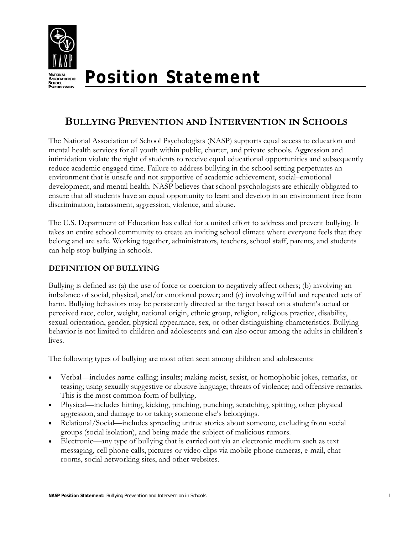

# **Position Statement**

## **BULLYING PREVENTION AND INTERVENTION IN SCHOOLS**

The National Association of School Psychologists (NASP) supports equal access to education and mental health services for all youth within public, charter, and private schools. Aggression and intimidation violate the right of students to receive equal educational opportunities and subsequently reduce academic engaged time. Failure to address bullying in the school setting perpetuates an environment that is unsafe and not supportive of academic achievement, social–emotional development, and mental health. NASP believes that school psychologists are ethically obligated to ensure that all students have an equal opportunity to learn and develop in an environment free from discrimination, harassment, aggression, violence, and abuse.

The U.S. Department of Education has called for a united effort to address and prevent bullying. It takes an entire school community to create an inviting school climate where everyone feels that they belong and are safe. Working together, administrators, teachers, school staff, parents, and students can help stop bullying in schools.

## **DEFINITION OF BULLYING**

Bullying is defined as: (a) the use of force or coercion to negatively affect others; (b) involving an imbalance of social, physical, and/or emotional power; and (c) involving willful and repeated acts of harm. Bullying behaviors may be persistently directed at the target based on a student's actual or perceived race, color, weight, national origin, ethnic group, religion, religious practice, disability, sexual orientation, gender, physical appearance, sex, or other distinguishing characteristics. Bullying behavior is not limited to children and adolescents and can also occur among the adults in children's lives.

The following types of bullying are most often seen among children and adolescents:

- Verbal—includes name-calling; insults; making racist, sexist, or homophobic jokes, remarks, or teasing; using sexually suggestive or abusive language; threats of violence; and offensive remarks. This is the most common form of bullying.
- Physical—includes hitting, kicking, pinching, punching, scratching, spitting, other physical aggression, and damage to or taking someone else's belongings.
- Relational/Social—includes spreading untrue stories about someone, excluding from social groups (social isolation), and being made the subject of malicious rumors.
- Electronic—any type of bullying that is carried out via an electronic medium such as text messaging, cell phone calls, pictures or video clips via mobile phone cameras, e-mail, chat rooms, social networking sites, and other websites.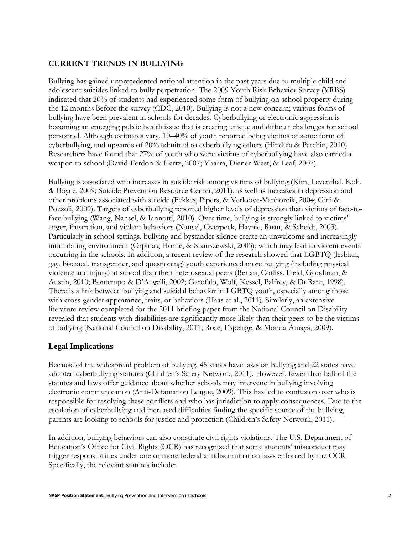#### **CURRENT TRENDS IN BULLYING**

Bullying has gained unprecedented national attention in the past years due to multiple child and adolescent suicides linked to bully perpetration. The 2009 Youth Risk Behavior Survey (YRBS) indicated that 20% of students had experienced some form of bullying on school property during the 12 months before the survey (CDC, 2010). Bullying is not a new concern; various forms of bullying have been prevalent in schools for decades. Cyberbullying or electronic aggression is becoming an emerging public health issue that is creating unique and difficult challenges for school personnel. Although estimates vary, 10–40% of youth reported being victims of some form of cyberbullying, and upwards of 20% admitted to cyberbullying others (Hinduja & Patchin, 2010). Researchers have found that 27% of youth who were victims of cyberbullying have also carried a weapon to school (David-Ferdon & Hertz, 2007; Ybarra, Diener-West, & Leaf, 2007).

Bullying is associated with increases in suicide risk among victims of bullying (Kim, Leventhal, Koh, & Boyce, 2009; Suicide Prevention Resource Center, 2011), as well as increases in depression and other problems associated with suicide (Fekkes, Pipers, & Verloove-Vanhorcik, 2004; Gini & Pozzoli, 2009). Targets of cyberbullying reported higher levels of depression than victims of face-toface bullying (Wang, Nansel, & Iannotti, 2010). Over time, bullying is strongly linked to victims' anger, frustration, and violent behaviors (Nansel, Overpeck, Haynie, Ruan, & Scheidt, 2003). Particularly in school settings, bullying and bystander silence create an unwelcome and increasingly intimidating environment (Orpinas, Horne, & Staniszewski, 2003), which may lead to violent events occurring in the schools. In addition, a recent review of the research showed that LGBTQ (lesbian, gay, bisexual, transgender, and questioning) youth experienced more bullying (including physical violence and injury) at school than their heterosexual peers (Berlan, Corliss, Field, Goodman, & Austin, 2010; Bontempo & D'Augelli, 2002; Garofalo, Wolf, Kessel, Palfrey, & DuRant, 1998). There is a link between bullying and suicidal behavior in LGBTQ youth, especially among those with cross-gender appearance, traits, or behaviors (Haas et al., 2011). Similarly, an extensive literature review completed for the 2011 briefing paper from the National Council on Disability revealed that students with disabilities are significantly more likely than their peers to be the victims of bullying (National Council on Disability, 2011; Rose, Espelage, & Monda-Amaya, 2009).

#### **Legal Implications**

Because of the widespread problem of bullying, 45 states have laws on bullying and 22 states have adopted cyberbullying statutes (Children's Safety Network, 2011). However, fewer than half of the statutes and laws offer guidance about whether schools may intervene in bullying involving electronic communication (Anti-Defamation League, 2009). This has led to confusion over who is responsible for resolving these conflicts and who has jurisdiction to apply consequences. Due to the escalation of cyberbullying and increased difficulties finding the specific source of the bullying, parents are looking to schools for justice and protection (Children's Safety Network, 2011).

In addition, bullying behaviors can also constitute civil rights violations. The U.S. Department of Education's Office for Civil Rights (OCR) has recognized that some students' misconduct may trigger responsibilities under one or more federal antidiscrimination laws enforced by the OCR. Specifically, the relevant statutes include: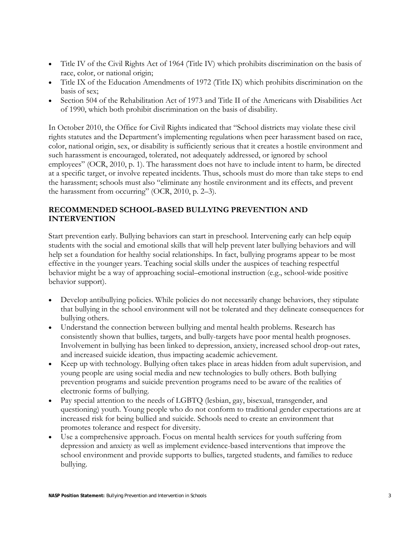- Title IV of the Civil Rights Act of 1964 (Title IV) which prohibits discrimination on the basis of race, color, or national origin;
- Title IX of the Education Amendments of 1972 (Title IX) which prohibits discrimination on the basis of sex;
- Section 504 of the Rehabilitation Act of 1973 and Title II of the Americans with Disabilities Act of 1990, which both prohibit discrimination on the basis of disability.

In October 2010, the Office for Civil Rights indicated that "School districts may violate these civil rights statutes and the Department's implementing regulations when peer harassment based on race, color, national origin, sex, or disability is sufficiently serious that it creates a hostile environment and such harassment is encouraged, tolerated, not adequately addressed, or ignored by school employees" (OCR, 2010, p. 1). The harassment does not have to include intent to harm, be directed at a specific target, or involve repeated incidents. Thus, schools must do more than take steps to end the harassment; schools must also "eliminate any hostile environment and its effects, and prevent the harassment from occurring" (OCR, 2010, p. 2–3).

## **RECOMMENDED SCHOOL-BASED BULLYING PREVENTION AND INTERVENTION**

Start prevention early. Bullying behaviors can start in preschool. Intervening early can help equip students with the social and emotional skills that will help prevent later bullying behaviors and will help set a foundation for healthy social relationships. In fact, bullying programs appear to be most effective in the younger years. Teaching social skills under the auspices of teaching respectful behavior might be a way of approaching social–emotional instruction (e.g., school-wide positive behavior support).

- Develop antibullying policies. While policies do not necessarily change behaviors, they stipulate that bullying in the school environment will not be tolerated and they delineate consequences for bullying others.
- Understand the connection between bullying and mental health problems. Research has consistently shown that bullies, targets, and bully-targets have poor mental health prognoses. Involvement in bullying has been linked to depression, anxiety, increased school drop-out rates, and increased suicide ideation, thus impacting academic achievement.
- Keep up with technology. Bullying often takes place in areas hidden from adult supervision, and young people are using social media and new technologies to bully others. Both bullying prevention programs and suicide prevention programs need to be aware of the realities of electronic forms of bullying.
- Pay special attention to the needs of LGBTQ (lesbian, gay, bisexual, transgender, and questioning) youth. Young people who do not conform to traditional gender expectations are at increased risk for being bullied and suicide. Schools need to create an environment that promotes tolerance and respect for diversity.
- Use a comprehensive approach. Focus on mental health services for youth suffering from depression and anxiety as well as implement evidence-based interventions that improve the school environment and provide supports to bullies, targeted students, and families to reduce bullying.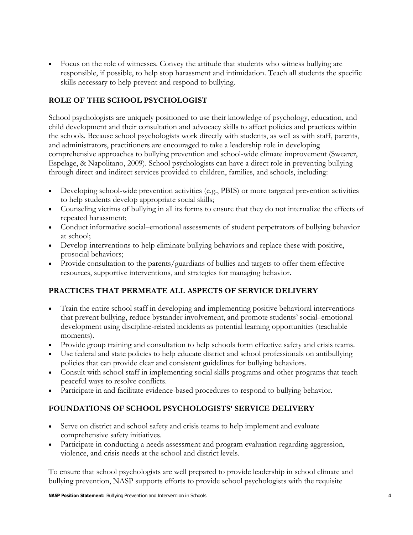Focus on the role of witnesses. Convey the attitude that students who witness bullying are responsible, if possible, to help stop harassment and intimidation. Teach all students the specific skills necessary to help prevent and respond to bullying.

## **ROLE OF THE SCHOOL PSYCHOLOGIST**

School psychologists are uniquely positioned to use their knowledge of psychology, education, and child development and their consultation and advocacy skills to affect policies and practices within the schools. Because school psychologists work directly with students, as well as with staff, parents, and administrators, practitioners are encouraged to take a leadership role in developing comprehensive approaches to bullying prevention and school-wide climate improvement (Swearer, Espelage, & Napolitano, 2009). School psychologists can have a direct role in preventing bullying through direct and indirect services provided to children, families, and schools, including:

- Developing school-wide prevention activities (e.g., PBIS) or more targeted prevention activities to help students develop appropriate social skills;
- Counseling victims of bullying in all its forms to ensure that they do not internalize the effects of repeated harassment;
- Conduct informative social–emotional assessments of student perpetrators of bullying behavior at school;
- Develop interventions to help eliminate bullying behaviors and replace these with positive, prosocial behaviors;
- Provide consultation to the parents/guardians of bullies and targets to offer them effective resources, supportive interventions, and strategies for managing behavior.

## **PRACTICES THAT PERMEATE ALL ASPECTS OF SERVICE DELIVERY**

- Train the entire school staff in developing and implementing positive behavioral interventions that prevent bullying, reduce bystander involvement, and promote students' social–emotional development using discipline-related incidents as potential learning opportunities (teachable moments).
- Provide group training and consultation to help schools form effective safety and crisis teams.
- Use federal and state policies to help educate district and school professionals on antibullying policies that can provide clear and consistent guidelines for bullying behaviors.
- Consult with school staff in implementing social skills programs and other programs that teach peaceful ways to resolve conflicts.
- Participate in and facilitate evidence-based procedures to respond to bullying behavior.

## **FOUNDATIONS OF SCHOOL PSYCHOLOGISTS' SERVICE DELIVERY**

- Serve on district and school safety and crisis teams to help implement and evaluate comprehensive safety initiatives.
- Participate in conducting a needs assessment and program evaluation regarding aggression, violence, and crisis needs at the school and district levels.

To ensure that school psychologists are well prepared to provide leadership in school climate and bullying prevention, NASP supports efforts to provide school psychologists with the requisite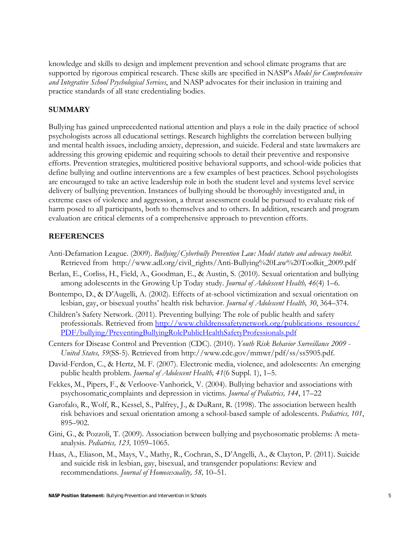knowledge and skills to design and implement prevention and school climate programs that are supported by rigorous empirical research. These skills are specified in NASP's *Model for Comprehensive and Integrative School Psychological Services*, and NASP advocates for their inclusion in training and practice standards of all state credentialing bodies.

#### **SUMMARY**

Bullying has gained unprecedented national attention and plays a role in the daily practice of school psychologists across all educational settings. Research highlights the correlation between bullying and mental health issues, including anxiety, depression, and suicide. Federal and state lawmakers are addressing this growing epidemic and requiring schools to detail their preventive and responsive efforts. Prevention strategies, multitiered positive behavioral supports, and school-wide policies that define bullying and outline interventions are a few examples of best practices. School psychologists are encouraged to take an active leadership role in both the student level and systems level service delivery of bullying prevention. Instances of bullying should be thoroughly investigated and, in extreme cases of violence and aggression, a threat assessment could be pursued to evaluate risk of harm posed to all participants, both to themselves and to others. In addition, research and program evaluation are critical elements of a comprehensive approach to prevention efforts.

#### **REFERENCES**

- Anti-Defamation League. (2009). *Bullying/Cyberbully Prevention Law: Model statute and advocacy toolkit.* Retrieved from http://www.adl.org/civil\_rights/Anti-Bullying%20Law%20Toolkit\_2009.pdf
- Berlan, E., Corliss, H., Field, A., Goodman, E., & Austin, S. (2010). Sexual orientation and bullying among adolescents in the Growing Up Today study. *Journal of Adolescent Health, 46*(4) 1–6.
- Bontempo, D., & D'Augelli, A. (2002). Effects of at-school victimization and sexual orientation on lesbian, gay, or bisexual youths' health risk behavior. *Journal of Adolescent Health, 30*, 364–374.
- Children's Safety Network. (2011). Preventing bullying: The role of public health and safety professionals. Retrieved from http://www.childrenssafetynetwork.org/publications\_resources/ PDF/bullying/PreventingBullyingRolePublicHealthSafetyProfessionals.pdf
- Centers for Disease Control and Prevention (CDC). (2010). *Youth Risk Behavior Surveillance 2009 United States, 59*(SS-5). Retrieved from http://www.cdc.gov/mmwr/pdf/ss/ss5905.pdf.
- David-Ferdon, C., & Hertz, M. F. (2007). Electronic media, violence, and adolescents: An emerging public health problem. *Journal of Adolescent Health, 41*(6 Suppl. 1), 1–5.
- Fekkes, M., Pipers, F., & Verloove-Vanhorick, V. (2004). Bullying behavior and associations with psychosomatic complaints and depression in victims. *Journal of Pediatrics, 144*, 17–22
- Garofalo, R., Wolf, R., Kessel, S., Palfrey, J., & DuRant, R. (1998). The association between health risk behaviors and sexual orientation among a school-based sample of adolescents. *Pediatrics, 101*, 895–902.
- Gini, G., & Pozzoli, T. (2009). Association between bullying and psychosomatic problems: A metaanalysis. *Pediatrics, 123,* 1059–1065.
- Haas, A., Eliason, M., Mays, V., Mathy, R., Cochran, S., D'Angelli, A., & Clayton, P. (2011). Suicide and suicide risk in lesbian, gay, bisexual, and transgender populations: Review and recommendations. *Journal of Homosexuality, 58,* 10–51.